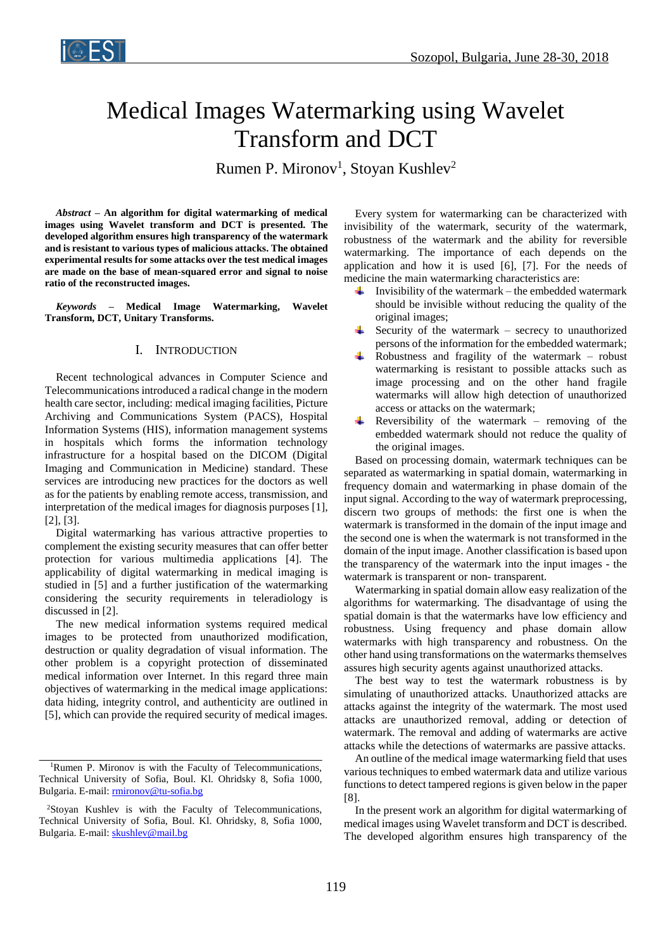# Medical Images Watermarking using Wavelet Transform and DCT

Rumen P. Mironov<sup>1</sup>, Stoyan Kushlev<sup>2</sup>

*Abstract* **– An algorithm for digital watermarking of medical images using Wavelet transform and DCT is presented. The developed algorithm ensures high transparency of the watermark and is resistant to various types of malicious attacks. The obtained experimental results for some attacks over the test medical images are made on the base of mean-squared error and signal to noise ratio of the reconstructed images.**

*Keywords –* **Medical Image Watermarking, Wavelet Transform, DCT, Unitary Transforms.**

## I. INTRODUCTION

Recent technological advances in Computer Science and Telecommunications introduced a radical change in the modern health care sector, including: medical imaging facilities, Picture Archiving and Communications System (PACS), Hospital Information Systems (HIS), information management systems in hospitals which forms the information technology infrastructure for a hospital based on the DICOM (Digital Imaging and Communication in Medicine) standard. These services are introducing new practices for the doctors as well as for the patients by enabling remote access, transmission, and interpretation of the medical images for diagnosis purposes [1], [2], [3].

Digital watermarking has various attractive properties to complement the existing security measures that can offer better protection for various multimedia applications [4]. The applicability of digital watermarking in medical imaging is studied in [5] and a further justification of the watermarking considering the security requirements in teleradiology is discussed in [2].

The new medical information systems required medical images to be protected from unauthorized modification, destruction or quality degradation of visual information. The other problem is a copyright protection of disseminated medical information over Internet. In this regard three main objectives of watermarking in the medical image applications: data hiding, integrity control, and authenticity are outlined in [5], which can provide the required security of medical images.

Every system for watermarking can be characterized with invisibility of the watermark, security of the watermark, robustness of the watermark and the ability for reversible watermarking. The importance of each depends on the application and how it is used [6], [7]. For the needs of medicine the main watermarking characteristics are:

- Invisibility of the watermark the embedded watermark should be invisible without reducing the quality of the original images;
- Security of the watermark secrecy to unauthorized persons of the information for the embedded watermark;
- Robustness and fragility of the watermark robust watermarking is resistant to possible attacks such as image processing and on the other hand fragile watermarks will allow high detection of unauthorized access or attacks on the watermark;
- Reversibility of the watermark removing of the embedded watermark should not reduce the quality of the original images.

Based on processing domain, watermark techniques can be separated as watermarking in spatial domain, watermarking in frequency domain and watermarking in phase domain of the input signal. According to the way of watermark preprocessing, discern two groups of methods: the first one is when the watermark is transformed in the domain of the input image and the second one is when the watermark is not transformed in the domain of the input image. Another classification is based upon the transparency of the watermark into the input images - the watermark is transparent or non- transparent.

Watermarking in spatial domain allow easy realization of the algorithms for watermarking. The disadvantage of using the spatial domain is that the watermarks have low efficiency and robustness. Using frequency and phase domain allow watermarks with high transparency and robustness. On the other hand using transformations on the watermarks themselves assures high security agents against unauthorized attacks.

The best way to test the watermark robustness is by simulating of unauthorized attacks. Unauthorized attacks are attacks against the integrity of the watermark. The most used attacks are unauthorized removal, adding or detection of watermark. The removal and adding of watermarks are active attacks while the detections of watermarks are passive attacks.

An outline of the medical image watermarking field that uses various techniques to embed watermark data and utilize various functions to detect tampered regions is given below in the paper [8].

In the present work an algorithm for digital watermarking of medical images using Wavelet transform and DCT is described. The developed algorithm ensures high transparency of the

<sup>&</sup>lt;sup>1</sup>Rumen P. Mironov is with the Faculty of Telecommunications, Technical University of Sofia, Boul. Kl. Ohridsky 8, Sofia 1000, Bulgaria. E-mail: mironov@tu-sofia.bg

<sup>2</sup>Stoyan Kushlev is with the Faculty of Telecommunications, Technical University of Sofia, Boul. Kl. Ohridsky, 8, Sofia 1000, Bulgaria. E-mail: [skushlev@mail.bg](mailto:skushlev@mail.bg)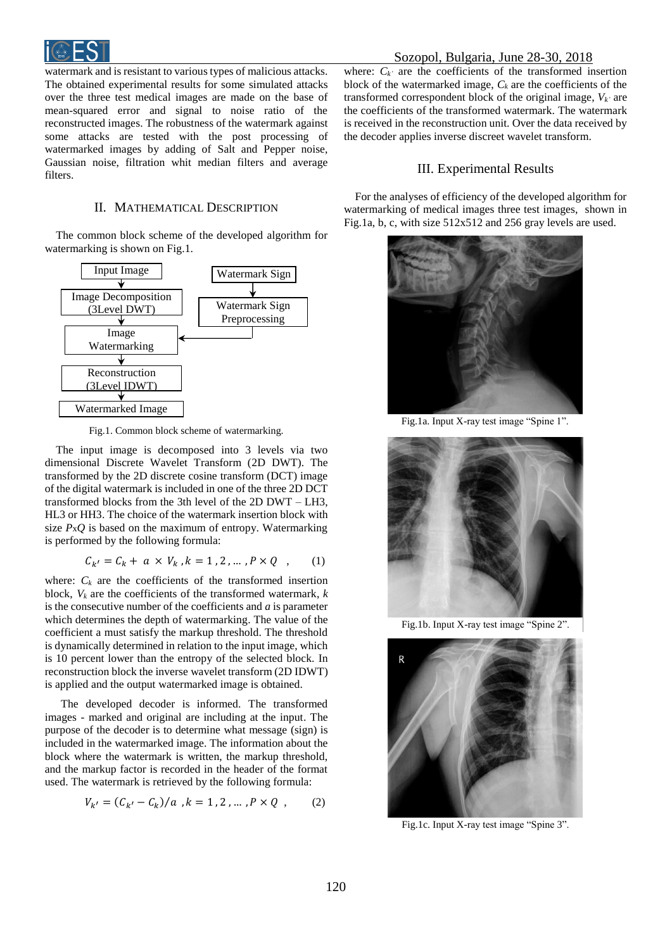

watermark and is resistant to various types of malicious attacks. The obtained experimental results for some simulated attacks over the three test medical images are made on the base of mean-squared error and signal to noise ratio of the reconstructed images. The robustness of the watermark against some attacks are tested with the post processing of watermarked images by adding of Salt and Pepper noise, Gaussian noise, filtration whit median filters and average filters.

#### II. MATHEMATICAL DESCRIPTION

The common block scheme of the developed algorithm for watermarking is shown on Fig.1.



Fig.1. Common block scheme of watermarking.

The input image is decomposed into 3 levels via two dimensional Discrete Wavelet Transform (2D DWT). The transformed by the 2D discrete cosine transform (DCT) image of the digital watermark is included in one of the three 2D DCT transformed blocks from the 3th level of the 2D DWT – LH3, HL3 or HH3. The choice of the watermark insertion block with size *P*x*Q* is based on the maximum of entropy. Watermarking is performed by the following formula:

$$
C_{k'} = C_k + a \times V_k, k = 1, 2, ..., P \times Q ,
$$
 (1)

where:  $C_k$  are the coefficients of the transformed insertion block,  $V_k$  are the coefficients of the transformed watermark,  $k$ is the consecutive number of the coefficients and *a* is parameter which determines the depth of watermarking. The value of the coefficient a must satisfy the markup threshold. The threshold is dynamically determined in relation to the input image, which is 10 percent lower than the entropy of the selected block. In reconstruction block the inverse wavelet transform (2D IDWT) is applied and the output watermarked image is obtained.

The developed decoder is informed. The transformed images - marked and original are including at the input. The purpose of the decoder is to determine what message (sign) is included in the watermarked image. The information about the block where the watermark is written, the markup threshold, and the markup factor is recorded in the header of the format used. The watermark is retrieved by the following formula:

$$
V_{k'} = (C_{k'} - C_k)/a, k = 1, 2, ..., P \times Q,
$$
 (2)

#### Sozopol, Bulgaria, June 28-30, 2018

where:  $C_k$  are the coefficients of the transformed insertion block of the watermarked image,  $C_k$  are the coefficients of the transformed correspondent block of the original image, *Vk'* are the coefficients of the transformed watermark. The watermark is received in the reconstruction unit. Over the data received by the decoder applies inverse discreet wavelet transform.

### III. Experimental Results

For the analyses of efficiency of the developed algorithm for watermarking of medical images three test images, shown in Fig.1a, b, c, with size 512x512 and 256 gray levels are used.



Fig.1a. Input X-ray test image "Spine 1".



Fig.1b. Input X-ray test image "Spine 2".



Fig.1c. Input X-ray test image "Spine 3".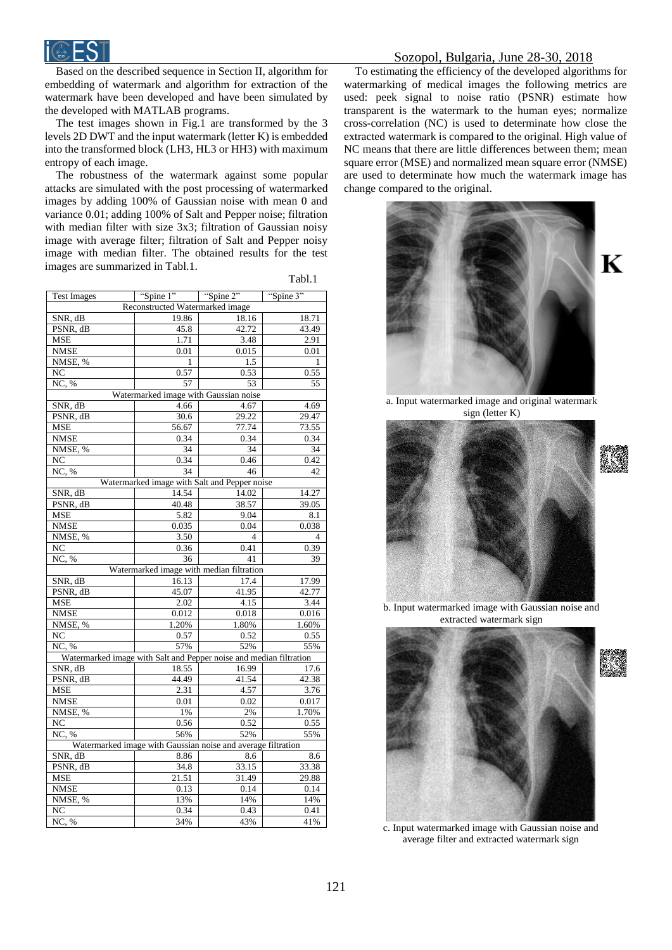

Based on the described sequence in Section II, algorithm for embedding of watermark and algorithm for extraction of the watermark have been developed and have been simulated by the developed with MATLAB programs.

The test images shown in Fig.1 are transformed by the 3 levels 2D DWT and the input watermark (letter K) is embedded into the transformed block (LH3, HL3 or HH3) with maximum entropy of each image.

The robustness of the watermark against some popular attacks are simulated with the post processing of watermarked images by adding 100% of Gaussian noise with mean 0 and variance 0.01; adding 100% of Salt and Pepper noise; filtration with median filter with size 3x3; filtration of Gaussian noisy image with average filter; filtration of Salt and Pepper noisy image with median filter. The obtained results for the test images are summarized in Tabl.1.

| "Spine 1"<br>"Spine 3"<br><b>Test Images</b><br>"Spine 2"<br>Reconstructed Watermarked image<br>SNR, dB<br>19.86<br>18.71<br>18.16<br>PSNR, dB<br>45.8<br>42.72<br>43.49<br><b>MSE</b><br>3.48<br>2.91<br>1.71<br><b>NMSE</b><br>0.01<br>0.015<br>0.01<br>NMSE, %<br>1.5<br>1<br>1<br>0.57<br>0.53<br>NC<br>0.55<br>NC, %<br>53<br>55<br>57<br>Watermarked image with Gaussian noise<br>SNR, dB<br>4.66<br>4.67<br>4.69<br>30.6<br>29.22<br>29.47<br>PSNR, dB<br>77.74<br>73.55<br><b>MSE</b><br>56.67<br><b>NMSE</b><br>0.34<br>0.34<br>0.34<br>NMSE, %<br>$3\overline{4}$<br>34<br>34<br>0.34<br>NC<br>0.46<br>0.42<br>NC, %<br>34<br>46<br>42<br>Watermarked image with Salt and Pepper noise<br>SNR, dB<br>14.54<br>14.02<br>14.27<br>PSNR, dB<br>38.57<br>40.48<br>39.05<br><b>MSE</b><br>5.82<br>9.04<br>8.1<br><b>NMSE</b><br>0.04<br>0.038<br>0.035<br>NMSE, %<br>3.50<br>$\overline{4}$<br>$\Delta$<br>NC<br>0.36<br>0.41<br>0.39<br>NC. %<br>39<br>36<br>41<br>Watermarked image with median filtration<br>SNR, dB<br>16.13<br>17.4<br>17.99<br>41.95<br>42.77<br>PSNR, dB<br>45.07<br><b>MSE</b><br>2.02<br>4.15<br>3.44<br><b>NMSE</b><br>0.018<br>0.012<br>0.016<br>NMSE, %<br>1.20%<br>1.80%<br>1.60%<br>NC<br>0.52<br>0.55<br>0.57<br>NC. %<br>57%<br>52%<br>55%<br>Watermarked image with Salt and Pepper noise and median filtration<br>18.55<br>16.99<br>SNR, dB<br>17.6<br>PSNR, dB<br>44.49<br>41.54<br>42.38<br><b>MSE</b><br>2.31<br>4.57<br>3.76<br><b>NMSE</b><br>0.02<br>0.017<br>0.01<br>NMSE, %<br>2%<br>1.70%<br>1%<br>0.52<br>0.55<br>NC<br>0.56<br>NC, %<br>56%<br>52%<br>55%<br>Watermarked image with Gaussian noise and average filtration<br>SNR, dB<br>8.86<br>8.6<br>8.6<br>PSNR, dB<br>33.15<br>33.38<br>34.8<br><b>MSE</b><br>21.51<br>31.49<br>29.88<br><b>NMSE</b><br>0.13<br>0.14<br>0.14<br>NMSE, %<br>13%<br>14%<br>14%<br>NC<br>0.34<br>0.43<br>0.41<br>NC, %<br>34%<br>43%<br>41% |  |  |  | Tabl.1 |  |
|--------------------------------------------------------------------------------------------------------------------------------------------------------------------------------------------------------------------------------------------------------------------------------------------------------------------------------------------------------------------------------------------------------------------------------------------------------------------------------------------------------------------------------------------------------------------------------------------------------------------------------------------------------------------------------------------------------------------------------------------------------------------------------------------------------------------------------------------------------------------------------------------------------------------------------------------------------------------------------------------------------------------------------------------------------------------------------------------------------------------------------------------------------------------------------------------------------------------------------------------------------------------------------------------------------------------------------------------------------------------------------------------------------------------------------------------------------------------------------------------------------------------------------------------------------------------------------------------------------------------------------------------------------------------------------------------------------------------------------------------------------------------------------------------------------------------------------------------------------------------------------------------------------------------------------|--|--|--|--------|--|
|                                                                                                                                                                                                                                                                                                                                                                                                                                                                                                                                                                                                                                                                                                                                                                                                                                                                                                                                                                                                                                                                                                                                                                                                                                                                                                                                                                                                                                                                                                                                                                                                                                                                                                                                                                                                                                                                                                                                |  |  |  |        |  |
|                                                                                                                                                                                                                                                                                                                                                                                                                                                                                                                                                                                                                                                                                                                                                                                                                                                                                                                                                                                                                                                                                                                                                                                                                                                                                                                                                                                                                                                                                                                                                                                                                                                                                                                                                                                                                                                                                                                                |  |  |  |        |  |
|                                                                                                                                                                                                                                                                                                                                                                                                                                                                                                                                                                                                                                                                                                                                                                                                                                                                                                                                                                                                                                                                                                                                                                                                                                                                                                                                                                                                                                                                                                                                                                                                                                                                                                                                                                                                                                                                                                                                |  |  |  |        |  |
|                                                                                                                                                                                                                                                                                                                                                                                                                                                                                                                                                                                                                                                                                                                                                                                                                                                                                                                                                                                                                                                                                                                                                                                                                                                                                                                                                                                                                                                                                                                                                                                                                                                                                                                                                                                                                                                                                                                                |  |  |  |        |  |
|                                                                                                                                                                                                                                                                                                                                                                                                                                                                                                                                                                                                                                                                                                                                                                                                                                                                                                                                                                                                                                                                                                                                                                                                                                                                                                                                                                                                                                                                                                                                                                                                                                                                                                                                                                                                                                                                                                                                |  |  |  |        |  |
|                                                                                                                                                                                                                                                                                                                                                                                                                                                                                                                                                                                                                                                                                                                                                                                                                                                                                                                                                                                                                                                                                                                                                                                                                                                                                                                                                                                                                                                                                                                                                                                                                                                                                                                                                                                                                                                                                                                                |  |  |  |        |  |
|                                                                                                                                                                                                                                                                                                                                                                                                                                                                                                                                                                                                                                                                                                                                                                                                                                                                                                                                                                                                                                                                                                                                                                                                                                                                                                                                                                                                                                                                                                                                                                                                                                                                                                                                                                                                                                                                                                                                |  |  |  |        |  |
|                                                                                                                                                                                                                                                                                                                                                                                                                                                                                                                                                                                                                                                                                                                                                                                                                                                                                                                                                                                                                                                                                                                                                                                                                                                                                                                                                                                                                                                                                                                                                                                                                                                                                                                                                                                                                                                                                                                                |  |  |  |        |  |
|                                                                                                                                                                                                                                                                                                                                                                                                                                                                                                                                                                                                                                                                                                                                                                                                                                                                                                                                                                                                                                                                                                                                                                                                                                                                                                                                                                                                                                                                                                                                                                                                                                                                                                                                                                                                                                                                                                                                |  |  |  |        |  |
|                                                                                                                                                                                                                                                                                                                                                                                                                                                                                                                                                                                                                                                                                                                                                                                                                                                                                                                                                                                                                                                                                                                                                                                                                                                                                                                                                                                                                                                                                                                                                                                                                                                                                                                                                                                                                                                                                                                                |  |  |  |        |  |
|                                                                                                                                                                                                                                                                                                                                                                                                                                                                                                                                                                                                                                                                                                                                                                                                                                                                                                                                                                                                                                                                                                                                                                                                                                                                                                                                                                                                                                                                                                                                                                                                                                                                                                                                                                                                                                                                                                                                |  |  |  |        |  |
|                                                                                                                                                                                                                                                                                                                                                                                                                                                                                                                                                                                                                                                                                                                                                                                                                                                                                                                                                                                                                                                                                                                                                                                                                                                                                                                                                                                                                                                                                                                                                                                                                                                                                                                                                                                                                                                                                                                                |  |  |  |        |  |
|                                                                                                                                                                                                                                                                                                                                                                                                                                                                                                                                                                                                                                                                                                                                                                                                                                                                                                                                                                                                                                                                                                                                                                                                                                                                                                                                                                                                                                                                                                                                                                                                                                                                                                                                                                                                                                                                                                                                |  |  |  |        |  |
|                                                                                                                                                                                                                                                                                                                                                                                                                                                                                                                                                                                                                                                                                                                                                                                                                                                                                                                                                                                                                                                                                                                                                                                                                                                                                                                                                                                                                                                                                                                                                                                                                                                                                                                                                                                                                                                                                                                                |  |  |  |        |  |
|                                                                                                                                                                                                                                                                                                                                                                                                                                                                                                                                                                                                                                                                                                                                                                                                                                                                                                                                                                                                                                                                                                                                                                                                                                                                                                                                                                                                                                                                                                                                                                                                                                                                                                                                                                                                                                                                                                                                |  |  |  |        |  |
|                                                                                                                                                                                                                                                                                                                                                                                                                                                                                                                                                                                                                                                                                                                                                                                                                                                                                                                                                                                                                                                                                                                                                                                                                                                                                                                                                                                                                                                                                                                                                                                                                                                                                                                                                                                                                                                                                                                                |  |  |  |        |  |
|                                                                                                                                                                                                                                                                                                                                                                                                                                                                                                                                                                                                                                                                                                                                                                                                                                                                                                                                                                                                                                                                                                                                                                                                                                                                                                                                                                                                                                                                                                                                                                                                                                                                                                                                                                                                                                                                                                                                |  |  |  |        |  |
|                                                                                                                                                                                                                                                                                                                                                                                                                                                                                                                                                                                                                                                                                                                                                                                                                                                                                                                                                                                                                                                                                                                                                                                                                                                                                                                                                                                                                                                                                                                                                                                                                                                                                                                                                                                                                                                                                                                                |  |  |  |        |  |
|                                                                                                                                                                                                                                                                                                                                                                                                                                                                                                                                                                                                                                                                                                                                                                                                                                                                                                                                                                                                                                                                                                                                                                                                                                                                                                                                                                                                                                                                                                                                                                                                                                                                                                                                                                                                                                                                                                                                |  |  |  |        |  |
|                                                                                                                                                                                                                                                                                                                                                                                                                                                                                                                                                                                                                                                                                                                                                                                                                                                                                                                                                                                                                                                                                                                                                                                                                                                                                                                                                                                                                                                                                                                                                                                                                                                                                                                                                                                                                                                                                                                                |  |  |  |        |  |
|                                                                                                                                                                                                                                                                                                                                                                                                                                                                                                                                                                                                                                                                                                                                                                                                                                                                                                                                                                                                                                                                                                                                                                                                                                                                                                                                                                                                                                                                                                                                                                                                                                                                                                                                                                                                                                                                                                                                |  |  |  |        |  |
|                                                                                                                                                                                                                                                                                                                                                                                                                                                                                                                                                                                                                                                                                                                                                                                                                                                                                                                                                                                                                                                                                                                                                                                                                                                                                                                                                                                                                                                                                                                                                                                                                                                                                                                                                                                                                                                                                                                                |  |  |  |        |  |
|                                                                                                                                                                                                                                                                                                                                                                                                                                                                                                                                                                                                                                                                                                                                                                                                                                                                                                                                                                                                                                                                                                                                                                                                                                                                                                                                                                                                                                                                                                                                                                                                                                                                                                                                                                                                                                                                                                                                |  |  |  |        |  |
|                                                                                                                                                                                                                                                                                                                                                                                                                                                                                                                                                                                                                                                                                                                                                                                                                                                                                                                                                                                                                                                                                                                                                                                                                                                                                                                                                                                                                                                                                                                                                                                                                                                                                                                                                                                                                                                                                                                                |  |  |  |        |  |
|                                                                                                                                                                                                                                                                                                                                                                                                                                                                                                                                                                                                                                                                                                                                                                                                                                                                                                                                                                                                                                                                                                                                                                                                                                                                                                                                                                                                                                                                                                                                                                                                                                                                                                                                                                                                                                                                                                                                |  |  |  |        |  |
|                                                                                                                                                                                                                                                                                                                                                                                                                                                                                                                                                                                                                                                                                                                                                                                                                                                                                                                                                                                                                                                                                                                                                                                                                                                                                                                                                                                                                                                                                                                                                                                                                                                                                                                                                                                                                                                                                                                                |  |  |  |        |  |
|                                                                                                                                                                                                                                                                                                                                                                                                                                                                                                                                                                                                                                                                                                                                                                                                                                                                                                                                                                                                                                                                                                                                                                                                                                                                                                                                                                                                                                                                                                                                                                                                                                                                                                                                                                                                                                                                                                                                |  |  |  |        |  |
|                                                                                                                                                                                                                                                                                                                                                                                                                                                                                                                                                                                                                                                                                                                                                                                                                                                                                                                                                                                                                                                                                                                                                                                                                                                                                                                                                                                                                                                                                                                                                                                                                                                                                                                                                                                                                                                                                                                                |  |  |  |        |  |
|                                                                                                                                                                                                                                                                                                                                                                                                                                                                                                                                                                                                                                                                                                                                                                                                                                                                                                                                                                                                                                                                                                                                                                                                                                                                                                                                                                                                                                                                                                                                                                                                                                                                                                                                                                                                                                                                                                                                |  |  |  |        |  |
|                                                                                                                                                                                                                                                                                                                                                                                                                                                                                                                                                                                                                                                                                                                                                                                                                                                                                                                                                                                                                                                                                                                                                                                                                                                                                                                                                                                                                                                                                                                                                                                                                                                                                                                                                                                                                                                                                                                                |  |  |  |        |  |
|                                                                                                                                                                                                                                                                                                                                                                                                                                                                                                                                                                                                                                                                                                                                                                                                                                                                                                                                                                                                                                                                                                                                                                                                                                                                                                                                                                                                                                                                                                                                                                                                                                                                                                                                                                                                                                                                                                                                |  |  |  |        |  |
|                                                                                                                                                                                                                                                                                                                                                                                                                                                                                                                                                                                                                                                                                                                                                                                                                                                                                                                                                                                                                                                                                                                                                                                                                                                                                                                                                                                                                                                                                                                                                                                                                                                                                                                                                                                                                                                                                                                                |  |  |  |        |  |
|                                                                                                                                                                                                                                                                                                                                                                                                                                                                                                                                                                                                                                                                                                                                                                                                                                                                                                                                                                                                                                                                                                                                                                                                                                                                                                                                                                                                                                                                                                                                                                                                                                                                                                                                                                                                                                                                                                                                |  |  |  |        |  |
|                                                                                                                                                                                                                                                                                                                                                                                                                                                                                                                                                                                                                                                                                                                                                                                                                                                                                                                                                                                                                                                                                                                                                                                                                                                                                                                                                                                                                                                                                                                                                                                                                                                                                                                                                                                                                                                                                                                                |  |  |  |        |  |
|                                                                                                                                                                                                                                                                                                                                                                                                                                                                                                                                                                                                                                                                                                                                                                                                                                                                                                                                                                                                                                                                                                                                                                                                                                                                                                                                                                                                                                                                                                                                                                                                                                                                                                                                                                                                                                                                                                                                |  |  |  |        |  |
|                                                                                                                                                                                                                                                                                                                                                                                                                                                                                                                                                                                                                                                                                                                                                                                                                                                                                                                                                                                                                                                                                                                                                                                                                                                                                                                                                                                                                                                                                                                                                                                                                                                                                                                                                                                                                                                                                                                                |  |  |  |        |  |
|                                                                                                                                                                                                                                                                                                                                                                                                                                                                                                                                                                                                                                                                                                                                                                                                                                                                                                                                                                                                                                                                                                                                                                                                                                                                                                                                                                                                                                                                                                                                                                                                                                                                                                                                                                                                                                                                                                                                |  |  |  |        |  |
|                                                                                                                                                                                                                                                                                                                                                                                                                                                                                                                                                                                                                                                                                                                                                                                                                                                                                                                                                                                                                                                                                                                                                                                                                                                                                                                                                                                                                                                                                                                                                                                                                                                                                                                                                                                                                                                                                                                                |  |  |  |        |  |
|                                                                                                                                                                                                                                                                                                                                                                                                                                                                                                                                                                                                                                                                                                                                                                                                                                                                                                                                                                                                                                                                                                                                                                                                                                                                                                                                                                                                                                                                                                                                                                                                                                                                                                                                                                                                                                                                                                                                |  |  |  |        |  |
|                                                                                                                                                                                                                                                                                                                                                                                                                                                                                                                                                                                                                                                                                                                                                                                                                                                                                                                                                                                                                                                                                                                                                                                                                                                                                                                                                                                                                                                                                                                                                                                                                                                                                                                                                                                                                                                                                                                                |  |  |  |        |  |
|                                                                                                                                                                                                                                                                                                                                                                                                                                                                                                                                                                                                                                                                                                                                                                                                                                                                                                                                                                                                                                                                                                                                                                                                                                                                                                                                                                                                                                                                                                                                                                                                                                                                                                                                                                                                                                                                                                                                |  |  |  |        |  |
|                                                                                                                                                                                                                                                                                                                                                                                                                                                                                                                                                                                                                                                                                                                                                                                                                                                                                                                                                                                                                                                                                                                                                                                                                                                                                                                                                                                                                                                                                                                                                                                                                                                                                                                                                                                                                                                                                                                                |  |  |  |        |  |
|                                                                                                                                                                                                                                                                                                                                                                                                                                                                                                                                                                                                                                                                                                                                                                                                                                                                                                                                                                                                                                                                                                                                                                                                                                                                                                                                                                                                                                                                                                                                                                                                                                                                                                                                                                                                                                                                                                                                |  |  |  |        |  |
|                                                                                                                                                                                                                                                                                                                                                                                                                                                                                                                                                                                                                                                                                                                                                                                                                                                                                                                                                                                                                                                                                                                                                                                                                                                                                                                                                                                                                                                                                                                                                                                                                                                                                                                                                                                                                                                                                                                                |  |  |  |        |  |
|                                                                                                                                                                                                                                                                                                                                                                                                                                                                                                                                                                                                                                                                                                                                                                                                                                                                                                                                                                                                                                                                                                                                                                                                                                                                                                                                                                                                                                                                                                                                                                                                                                                                                                                                                                                                                                                                                                                                |  |  |  |        |  |
|                                                                                                                                                                                                                                                                                                                                                                                                                                                                                                                                                                                                                                                                                                                                                                                                                                                                                                                                                                                                                                                                                                                                                                                                                                                                                                                                                                                                                                                                                                                                                                                                                                                                                                                                                                                                                                                                                                                                |  |  |  |        |  |
|                                                                                                                                                                                                                                                                                                                                                                                                                                                                                                                                                                                                                                                                                                                                                                                                                                                                                                                                                                                                                                                                                                                                                                                                                                                                                                                                                                                                                                                                                                                                                                                                                                                                                                                                                                                                                                                                                                                                |  |  |  |        |  |
|                                                                                                                                                                                                                                                                                                                                                                                                                                                                                                                                                                                                                                                                                                                                                                                                                                                                                                                                                                                                                                                                                                                                                                                                                                                                                                                                                                                                                                                                                                                                                                                                                                                                                                                                                                                                                                                                                                                                |  |  |  |        |  |
|                                                                                                                                                                                                                                                                                                                                                                                                                                                                                                                                                                                                                                                                                                                                                                                                                                                                                                                                                                                                                                                                                                                                                                                                                                                                                                                                                                                                                                                                                                                                                                                                                                                                                                                                                                                                                                                                                                                                |  |  |  |        |  |

Sozopol, Bulgaria, June 28-30, 2018

To estimating the efficiency of the developed algorithms for watermarking of medical images the following metrics are used: peek signal to noise ratio (PSNR) estimate how transparent is the watermark to the human eyes; normalize cross-correlation (NC) is used to determinate how close the extracted watermark is compared to the original. High value of NC means that there are little differences between them; mean square error (MSE) and normalized mean square error (NMSE) are used to determinate how much the watermark image has change compared to the original.



a. Input watermarked image and original watermark sign (letter K)



b. Input watermarked image with Gaussian noise and extracted watermark sign



c. Input watermarked image with Gaussian noise and average filter and extracted watermark sign